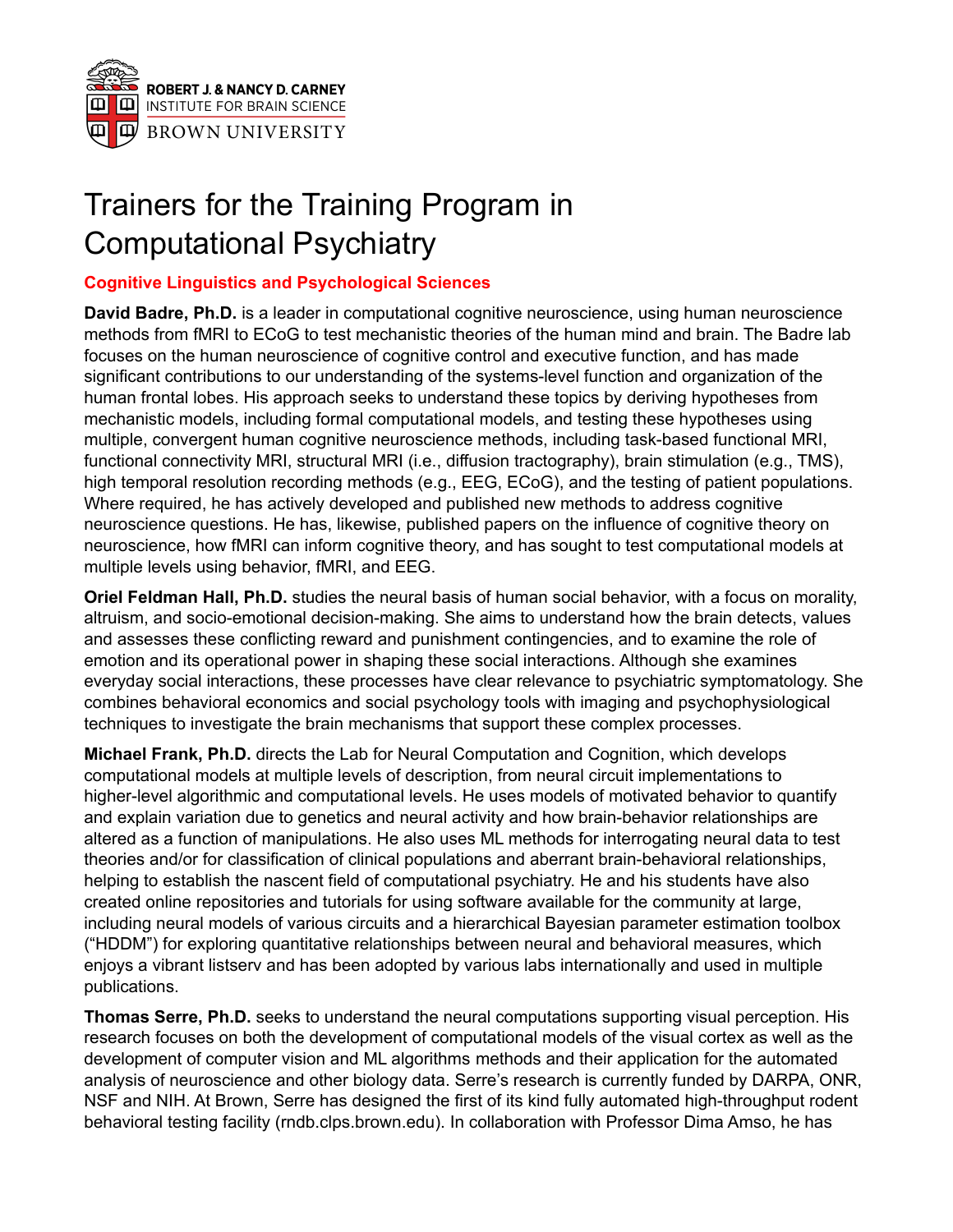

# Trainers for the Training Program in Computational Psychiatry

## **Cognitive Linguistics and Psychological Sciences**

**David Badre, Ph.D.** is a leader in computational cognitive neuroscience, using human neuroscience methods from fMRI to ECoG to test mechanistic theories of the human mind and brain. The Badre lab focuses on the human neuroscience of cognitive control and executive function, and has made significant contributions to our understanding of the systems-level function and organization of the human frontal lobes. His approach seeks to understand these topics by deriving hypotheses from mechanistic models, including formal computational models, and testing these hypotheses using multiple, convergent human cognitive neuroscience methods, including task-based functional MRI, functional connectivity MRI, structural MRI (i.e., diffusion tractography), brain stimulation (e.g., TMS), high temporal resolution recording methods (e.g., EEG, ECoG), and the testing of patient populations. Where required, he has actively developed and published new methods to address cognitive neuroscience questions. He has, likewise, published papers on the influence of cognitive theory on neuroscience, how fMRI can inform cognitive theory, and has sought to test computational models at multiple levels using behavior, fMRI, and EEG.

**Oriel Feldman Hall, Ph.D.** studies the neural basis of human social behavior, with a focus on morality, altruism, and socio-emotional decision-making. She aims to understand how the brain detects, values and assesses these conflicting reward and punishment contingencies, and to examine the role of emotion and its operational power in shaping these social interactions. Although she examines everyday social interactions, these processes have clear relevance to psychiatric symptomatology. She combines behavioral economics and social psychology tools with imaging and psychophysiological techniques to investigate the brain mechanisms that support these complex processes.

**Michael Frank, Ph.D.** directs the Lab for Neural Computation and Cognition, which develops computational models at multiple levels of description, from neural circuit implementations to higher-level algorithmic and computational levels. He uses models of motivated behavior to quantify and explain variation due to genetics and neural activity and how brain-behavior relationships are altered as a function of manipulations. He also uses ML methods for interrogating neural data to test theories and/or for classification of clinical populations and aberrant brain-behavioral relationships, helping to establish the nascent field of computational psychiatry. He and his students have also created online repositories and tutorials for using software available for the community at large, including neural models of various circuits and a hierarchical Bayesian parameter estimation toolbox ("HDDM") for exploring quantitative relationships between neural and behavioral measures, which enjoys a vibrant listserv and has been adopted by various labs internationally and used in multiple publications.

**Thomas Serre, Ph.D.** seeks to understand the neural computations supporting visual perception. His research focuses on both the development of computational models of the visual cortex [a](https://paperpile.com/c/tquzET/sUjL+fRGk+omgC+TfWk)s well as the development of computer vision and ML algorithms [m](https://paperpile.com/c/tquzET/9PKyI+F3JuY+NC1k+iUQbD+ZM7e+ig7B)ethods and their application for the automated analysis of neuroscience and other biology data. Serre's research is currently funded by DARPA, ONR, NSF and NIH. At Brown, Serre has designed the first of its kind fully automated high-throughput rodent behavioral testing facility (rndb.clps.brown.edu). In collaboration with Professor Dima Amso, he has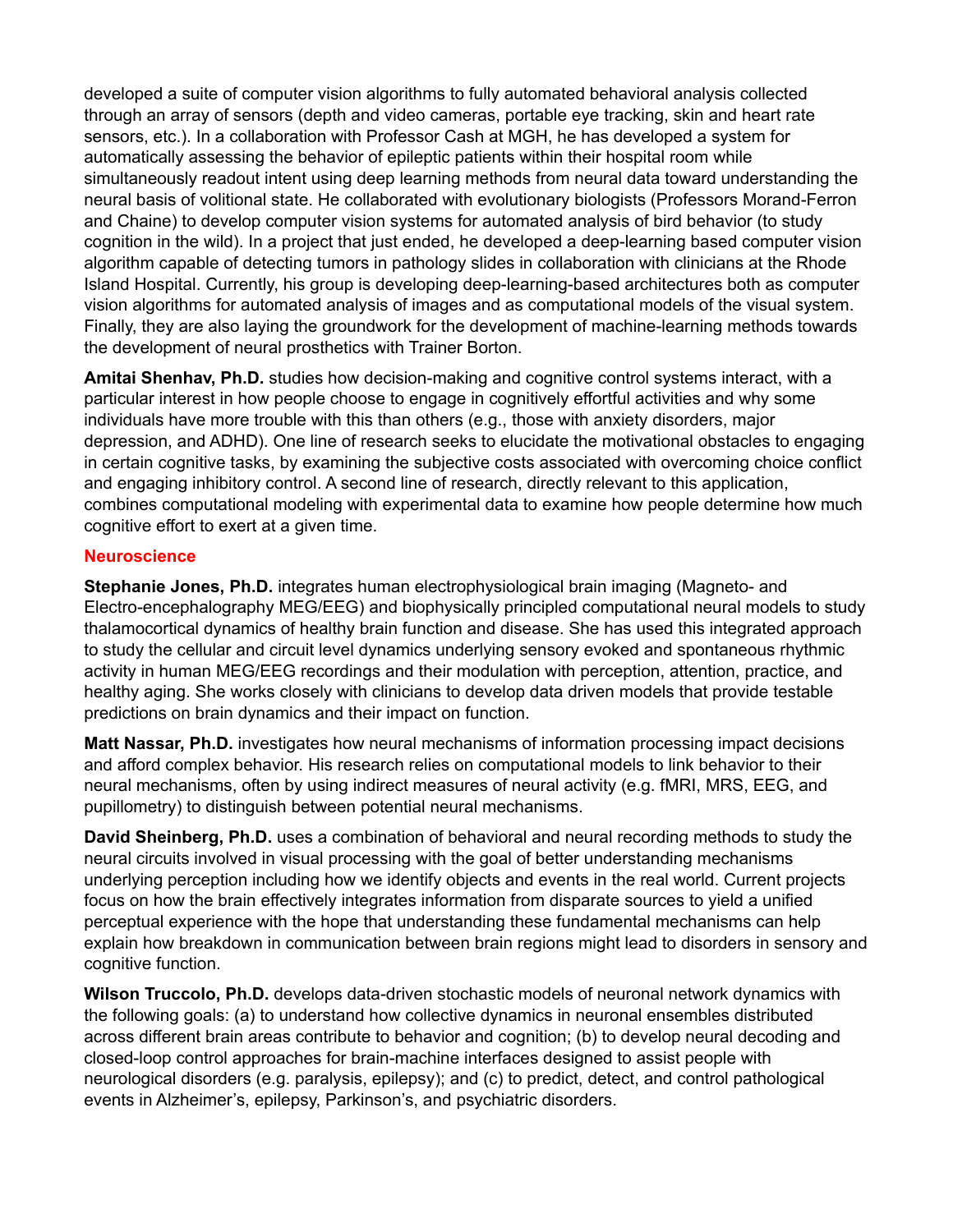developed a suite of computer vision algorithms to fully automated behavioral analysis collected through an array of sensors (depth and video cameras, portable eye tracking, skin and heart rate sensors, etc.). In a collaboration with Professor Cash at MGH, he has developed a system for automatically assessing the behavior of epileptic patients within their hospital room while simultaneously readout intent using deep learning methods from neural data toward understanding the neural basis of volitional state. He collaborated with evolutionary biologists (Professors Morand-Ferron and Chaine) to develop computer vision systems for automated analysis of bird behavior (to study cognition in the wild). In a project that just ended, he developed a deep-learning based computer vision algorithm capable of detecting tumors in pathology slides in collaboration with clinicians at the Rhode Island Hospital. Currently, his group is developing deep-learning-based architectures both as computer vision algorithms for automated analysis of images and as computational models of the visual system. Finally, they are also laying the groundwork for the development of machine-learning methods towards the development of neural prosthetics with Trainer Borton.

**Amitai Shenhav, Ph.D.** studies how decision-making and cognitive control systems interact, with a particular interest in how people choose to engage in cognitively effortful activities and why some individuals have more trouble with this than others (e.g., those with anxiety disorders, major depression, and ADHD). One line of research seeks to elucidate the motivational obstacles to engaging in certain cognitive tasks, by examining the subjective costs associated with overcoming choice conflict and engaging inhibitory control. A second line of research, directly relevant to this application, combines computational modeling with experimental data to examine how people determine how much cognitive effort to exert at a given time.

#### **Neuroscience**

**Stephanie Jones, Ph.D.** integrates human electrophysiological brain imaging (Magneto- and Electro-encephalography MEG/EEG) and biophysically principled computational neural models to study thalamocortical dynamics of healthy brain function and disease. She has used this integrated approach to study the cellular and circuit level dynamics underlying sensory evoked and spontaneous rhythmic activity in human MEG/EEG recordings and their modulation with perception, attention, practice, and healthy aging. She works closely with clinicians to develop data driven models that provide testable predictions on brain dynamics and their impact on function.

**Matt Nassar, Ph.D.** investigates how neural mechanisms of information processing impact decisions and afford complex behavior. His research relies on computational models to link behavior to their neural mechanisms, often by using indirect measures of neural activity (e.g. fMRI, MRS, EEG, and pupillometry) to distinguish between potential neural mechanisms.

**David Sheinberg, Ph.D.** uses a combination of behavioral and neural recording methods to study the neural circuits involved in visual processing with the goal of better understanding mechanisms underlying perception including how we identify objects and events in the real world. Current projects focus on how the brain effectively integrates information from disparate sources to yield a unified perceptual experience with the hope that understanding these fundamental mechanisms can help explain how breakdown in communication between brain regions might lead to disorders in sensory and cognitive function.

**Wilson Truccolo, Ph.D.** develops data-driven stochastic models of neuronal network dynamics with the following goals: (a) to understand how collective dynamics in neuronal ensembles distributed across different brain areas contribute to behavior and cognition; (b) to develop neural decoding and closed-loop control approaches for brain-machine interfaces designed to assist people with neurological disorders (e.g. paralysis, epilepsy); and (c) to predict, detect, and control pathological events in Alzheimer's, epilepsy, Parkinson's, and psychiatric disorders.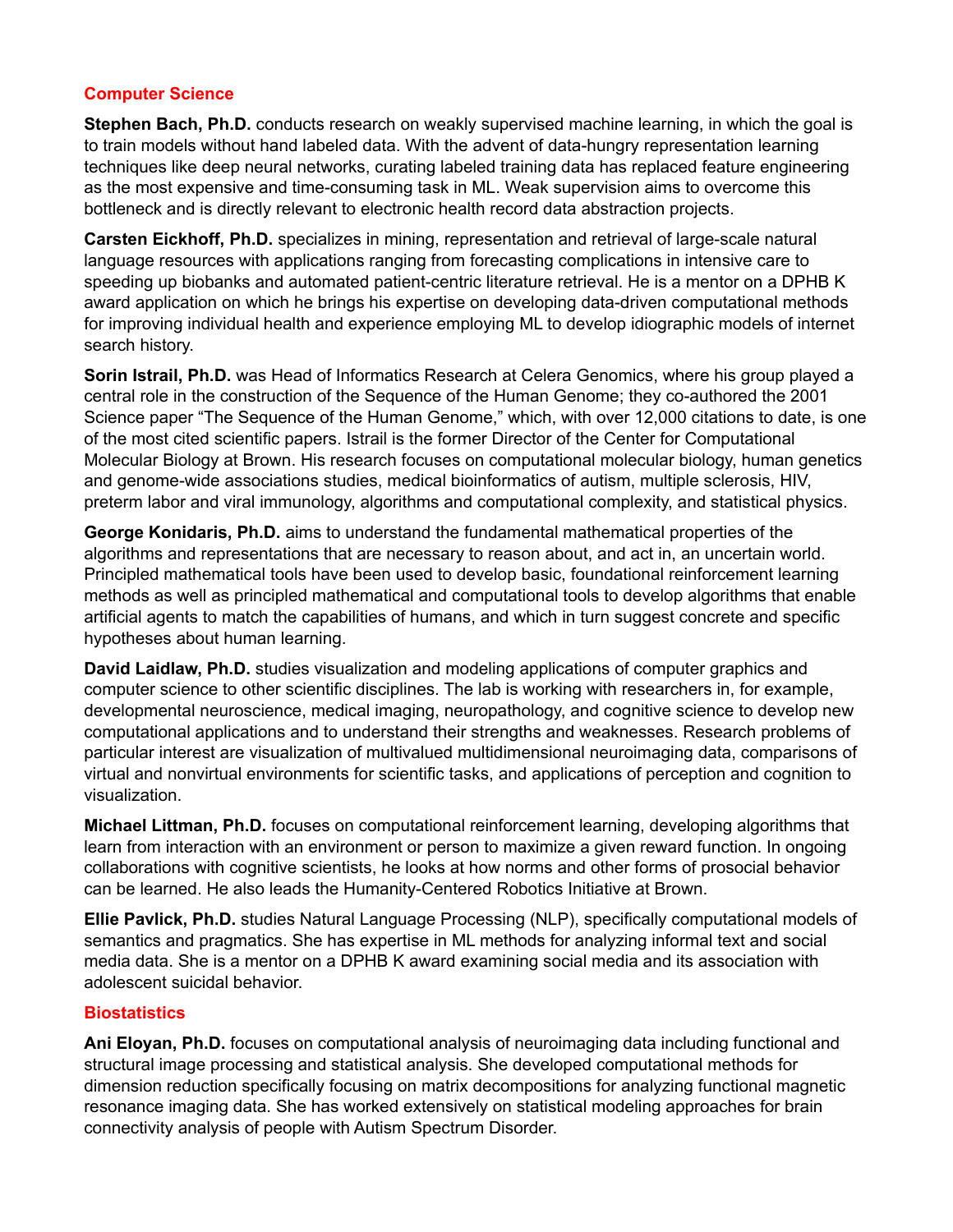## **Computer Science**

**Stephen Bach, Ph.D.** conducts research on weakly supervised machine learning, in which the goal is to train models without hand labeled data. With the advent of data-hungry representation learning techniques like deep neural networks, curating labeled training data has replaced feature engineering as the most expensive and time-consuming task in ML. Weak supervision aims to overcome this bottleneck and is directly relevant to electronic health record data abstraction projects.

**Carsten Eickhoff, Ph.D.** specializes in mining, representation and retrieval of large-scale natural language resources with applications ranging from forecasting complications in intensive care to speeding up biobanks and automated patient-centric literature retrieval. He is a mentor on a DPHB K award application on which he brings his expertise on developing data-driven computational methods for improving individual health and experience employing ML to develop idiographic models of internet search history.

**Sorin Istrail, Ph.D.** was Head of Informatics Research at Celera Genomics, where his group played a central role in the construction of the Sequence of the Human Genome; they co-authored the 2001 Science paper "The Sequence of the Human Genome," which, with over 12,000 citations to date, is one of the most cited scientific papers. Istrail is the former Director of the Center for Computational Molecular Biology at Brown. His research focuses on computational molecular biology, human genetics and genome-wide associations studies, medical bioinformatics of autism, multiple sclerosis, HIV, preterm labor and viral immunology, algorithms and computational complexity, and statistical physics.

**George Konidaris, Ph.D.** aims to understand the fundamental mathematical properties of the algorithms and representations that are necessary to reason about, and act in, an uncertain world. Principled mathematical tools have been used to develop basic, foundational reinforcement learning methods as well as principled mathematical and computational tools to develop algorithms that enable artificial agents to match the capabilities of humans, and which in turn suggest concrete and specific hypotheses about human learning.

**David Laidlaw, Ph.D.** studies visualization and modeling applications of computer graphics and computer science to other scientific disciplines. The lab is working with researchers in, for example, developmental neuroscience, medical imaging, neuropathology, and cognitive science to develop new computational applications and to understand their strengths and weaknesses. Research problems of particular interest are visualization of multivalued multidimensional neuroimaging data, comparisons of virtual and nonvirtual environments for scientific tasks, and applications of perception and cognition to visualization.

**Michael Littman, Ph.D.** focuses on computational reinforcement learning, developing algorithms that learn from interaction with an environment or person to maximize a given reward function. In ongoing collaborations with cognitive scientists, he looks at how norms and other forms of prosocial behavior can be learned. He also leads the Humanity-Centered Robotics Initiative at Brown.

**Ellie Pavlick, Ph.D.** studies Natural Language Processing (NLP), specifically computational models of semantics and pragmatics. She has expertise in ML methods for analyzing informal text and social media data. She is a mentor on a DPHB K award examining social media and its association with adolescent suicidal behavior.

#### **Biostatistics**

**Ani Eloyan, Ph.D.** focuses on computational analysis of neuroimaging data including functional and structural image processing and statistical analysis. She developed computational methods for dimension reduction specifically focusing on matrix decompositions for analyzing functional magnetic resonance imaging data. She has worked extensively on statistical modeling approaches for brain connectivity analysis of people with Autism Spectrum Disorder.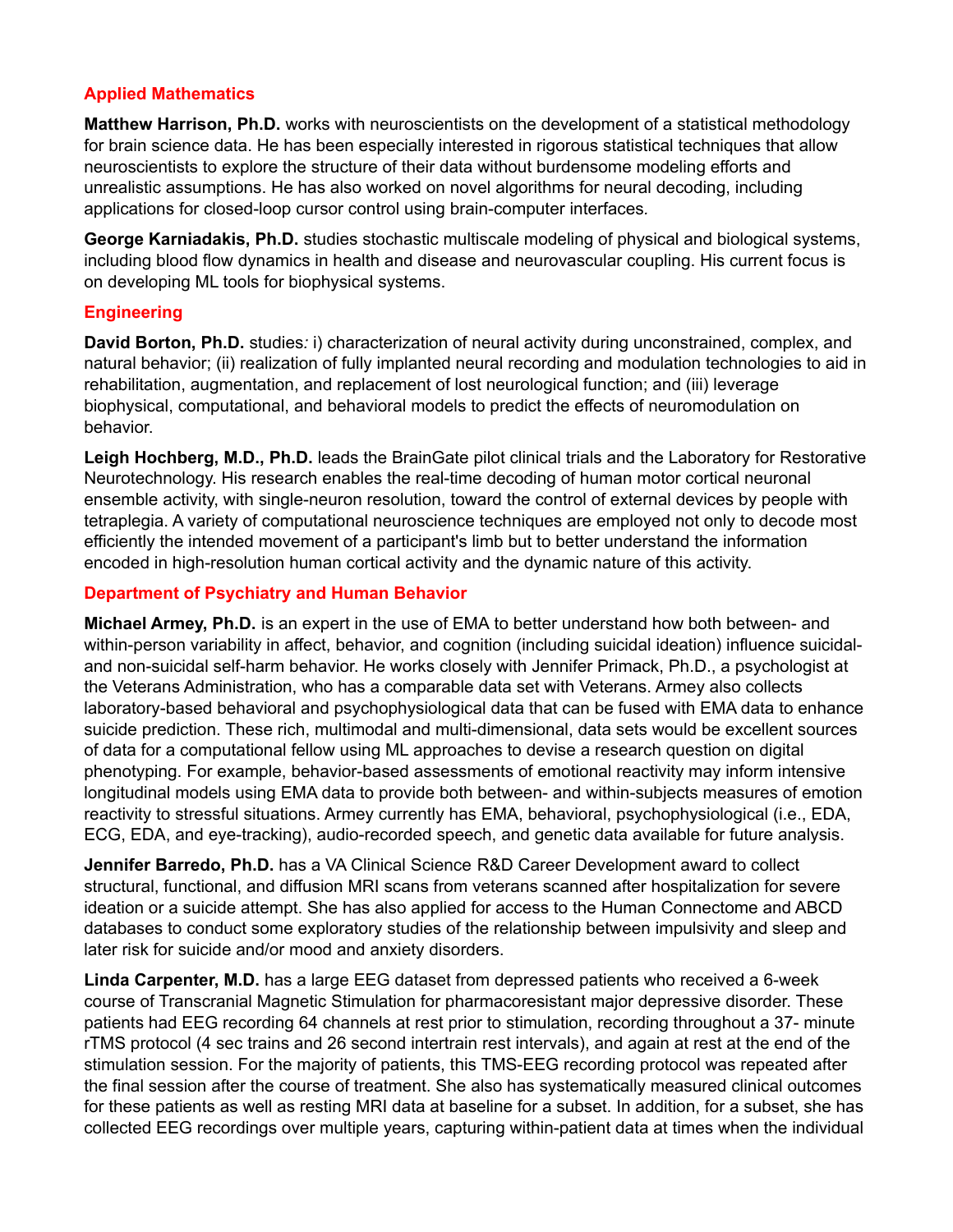## **Applied Mathematics**

**Matthew Harrison, Ph.D.** works with neuroscientists on the development of a statistical methodology for brain science data. He has been especially interested in rigorous statistical techniques that allow neuroscientists to explore the structure of their data without burdensome modeling efforts and unrealistic assumptions. He has also worked on novel algorithms for neural decoding, including applications for closed-loop cursor control using brain-computer interfaces*.*

**George Karniadakis, Ph.D.** studies stochastic multiscale modeling of physical and biological systems, including blood flow dynamics in health and disease and neurovascular coupling. His current focus is on developing ML tools for biophysical systems.

### **Engineering**

**David Borton, Ph.D.** studies*:* i) characterization of neural activity during unconstrained, complex, and natural behavior; (ii) realization of fully implanted neural recording and modulation technologies to aid in rehabilitation, augmentation, and replacement of lost neurological function; and (iii) leverage biophysical, computational, and behavioral models to predict the effects of neuromodulation on behavior.

**Leigh Hochberg, M.D., Ph.D.** leads the BrainGate pilot clinical trials and the Laboratory for Restorative Neurotechnology. His research enables the real-time decoding of human motor cortical neuronal ensemble activity, with single-neuron resolution, toward the control of external devices by people with tetraplegia. A variety of computational neuroscience techniques are employed not only to decode most efficiently the intended movement of a participant's limb but to better understand the information encoded in high-resolution human cortical activity and the dynamic nature of this activity.

#### **Department of Psychiatry and Human Behavior**

**Michael Armey, Ph.D.** is an expert in the use of EMA to better understand how both between- and within-person variability in affect, behavior, and cognition (including suicidal ideation) influence suicidaland non-suicidal self-harm behavior. He works closely with Jennifer Primack, Ph.D., a psychologist at the Veterans Administration, who has a comparable data set with Veterans. Armey also collects laboratory-based behavioral and psychophysiological data that can be fused with EMA data to enhance suicide prediction. These rich, multimodal and multi-dimensional, data sets would be excellent sources of data for a computational fellow using ML approaches to devise a research question on digital phenotyping. For example, behavior-based assessments of emotional reactivity may inform intensive longitudinal models using EMA data to provide both between- and within-subjects measures of emotion reactivity to stressful situations. Armey currently has EMA, behavioral, psychophysiological (i.e., EDA, ECG, EDA, and eye-tracking), audio-recorded speech, and genetic data available for future analysis.

**Jennifer Barredo, Ph.D.** has a VA Clinical Science R&D Career Development award to collect structural, functional, and diffusion MRI scans from veterans scanned after hospitalization for severe ideation or a suicide attempt. She has also applied for access to the Human Connectome and ABCD databases to conduct some exploratory studies of the relationship between impulsivity and sleep and later risk for suicide and/or mood and anxiety disorders.

**Linda Carpenter, M.D.** has a large EEG dataset from depressed patients who received a 6-week course of Transcranial Magnetic Stimulation for pharmacoresistant major depressive disorder. These patients had EEG recording 64 channels at rest prior to stimulation, recording throughout a 37- minute rTMS protocol (4 sec trains and 26 second intertrain rest intervals), and again at rest at the end of the stimulation session. For the majority of patients, this TMS-EEG recording protocol was repeated after the final session after the course of treatment. She also has systematically measured clinical outcomes for these patients as well as resting MRI data at baseline for a subset. In addition, for a subset, she has collected EEG recordings over multiple years, capturing within-patient data at times when the individual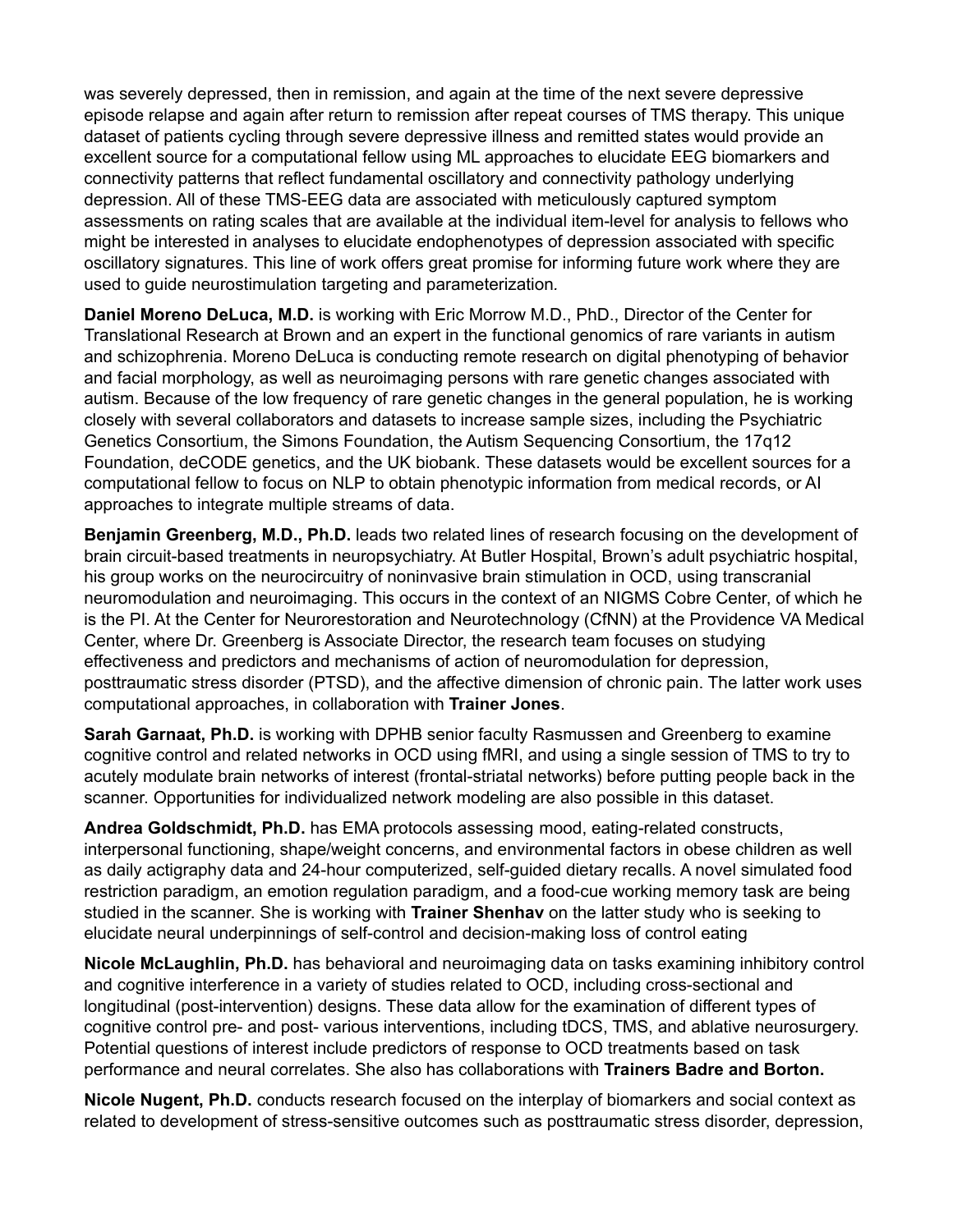was severely depressed, then in remission, and again at the time of the next severe depressive episode relapse and again after return to remission after repeat courses of TMS therapy. This unique dataset of patients cycling through severe depressive illness and remitted states would provide an excellent source for a computational fellow using ML approaches to elucidate EEG biomarkers and connectivity patterns that reflect fundamental oscillatory and connectivity pathology underlying depression. All of these TMS-EEG data are associated with meticulously captured symptom assessments on rating scales that are available at the individual item-level for analysis to fellows who might be interested in analyses to elucidate endophenotypes of depression associated with specific oscillatory signatures. This line of work offers great promise for informing future work where they are used to guide neurostimulation targeting and parameterization*.*

**Daniel Moreno DeLuca, M.D.** is working with Eric Morrow M.D., PhD., Director of the Center for Translational Research at Brown and an expert in the functional genomics of rare variants in autism and schizophrenia. Moreno DeLuca is conducting remote research on digital phenotyping of behavior and facial morphology, as well as neuroimaging persons with rare genetic changes associated with autism. Because of the low frequency of rare genetic changes in the general population, he is working closely with several collaborators and datasets to increase sample sizes, including the Psychiatric Genetics Consortium, the Simons Foundation, the Autism Sequencing Consortium, the 17q12 Foundation, deCODE genetics, and the UK biobank. These datasets would be excellent sources for a computational fellow to focus on NLP to obtain phenotypic information from medical records, or AI approaches to integrate multiple streams of data.

**Benjamin Greenberg, M.D., Ph.D.** leads two related lines of research focusing on the development of brain circuit-based treatments in neuropsychiatry. At Butler Hospital, Brown's adult psychiatric hospital, his group works on the neurocircuitry of noninvasive brain stimulation in OCD, using transcranial neuromodulation and neuroimaging. This occurs in the context of an NIGMS Cobre Center, of which he is the PI. At the Center for Neurorestoration and Neurotechnology (CfNN) at the Providence VA Medical Center, where Dr. Greenberg is Associate Director, the research team focuses on studying effectiveness and predictors and mechanisms of action of neuromodulation for depression, posttraumatic stress disorder (PTSD), and the affective dimension of chronic pain. The latter work uses computational approaches, in collaboration with **Trainer Jones**.

**Sarah Garnaat, Ph.D.** is working with DPHB senior faculty Rasmussen and Greenberg to examine cognitive control and related networks in OCD using fMRI, and using a single session of TMS to try to acutely modulate brain networks of interest (frontal-striatal networks) before putting people back in the scanner. Opportunities for individualized network modeling are also possible in this dataset.

**Andrea Goldschmidt, Ph.D.** has EMA protocols assessing mood, eating-related constructs, interpersonal functioning, shape/weight concerns, and environmental factors in obese children as well as daily actigraphy data and 24-hour computerized, self-guided dietary recalls. A novel simulated food restriction paradigm, an emotion regulation paradigm, and a food-cue working memory task are being studied in the scanner. She is working with **Trainer Shenhav** on the latter study who is seeking to elucidate neural underpinnings of self-control and decision-making loss of control eating

**Nicole McLaughlin, Ph.D.** has behavioral and neuroimaging data on tasks examining inhibitory control and cognitive interference in a variety of studies related to OCD, including cross-sectional and longitudinal (post-intervention) designs. These data allow for the examination of different types of cognitive control pre- and post- various interventions, including tDCS, TMS, and ablative neurosurgery. Potential questions of interest include predictors of response to OCD treatments based on task performance and neural correlates. She also has collaborations with **Trainers Badre and Borton.**

**Nicole Nugent, Ph.D.** conducts research focused on the interplay of biomarkers and social context as related to development of stress-sensitive outcomes such as posttraumatic stress disorder, depression,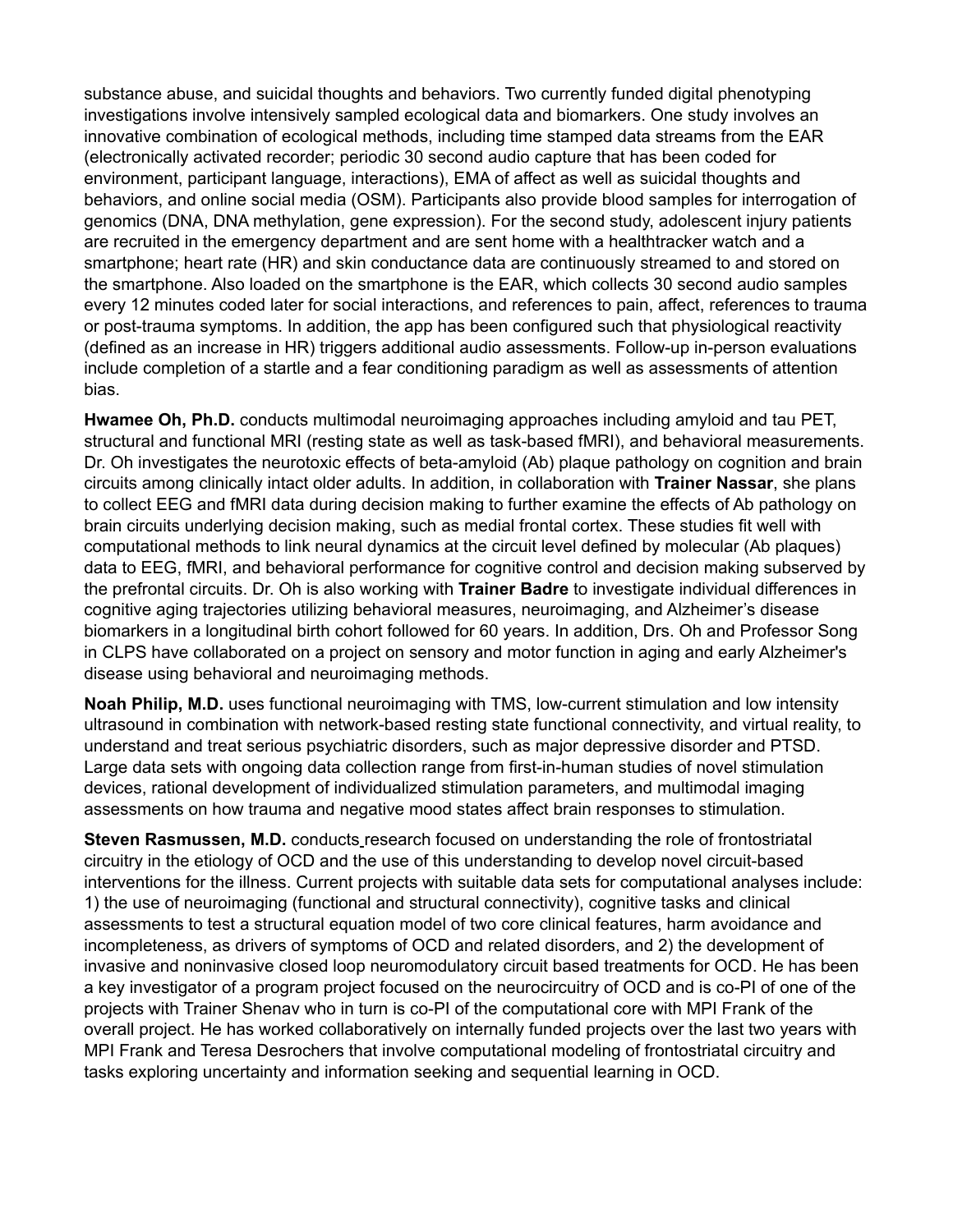substance abuse, and suicidal thoughts and behaviors. Two currently funded digital phenotyping investigations involve intensively sampled ecological data and biomarkers. One study involves an innovative combination of ecological methods, including time stamped data streams from the EAR (electronically activated recorder; periodic 30 second audio capture that has been coded for environment, participant language, interactions), EMA of affect as well as suicidal thoughts and behaviors, and online social media (OSM). Participants also provide blood samples for interrogation of genomics (DNA, DNA methylation, gene expression). For the second study, adolescent injury patients are recruited in the emergency department and are sent home with a healthtracker watch and a smartphone; heart rate (HR) and skin conductance data are continuously streamed to and stored on the smartphone. Also loaded on the smartphone is the EAR, which collects 30 second audio samples every 12 minutes coded later for social interactions, and references to pain, affect, references to trauma or post-trauma symptoms. In addition, the app has been configured such that physiological reactivity (defined as an increase in HR) triggers additional audio assessments. Follow-up in-person evaluations include completion of a startle and a fear conditioning paradigm as well as assessments of attention bias.

**Hwamee Oh, Ph.D.** conducts multimodal neuroimaging approaches including amyloid and tau PET, structural and functional MRI (resting state as well as task-based fMRI), and behavioral measurements. Dr. Oh investigates the neurotoxic effects of beta-amyloid (Ab) plaque pathology on cognition and brain circuits among clinically intact older adults. In addition, in collaboration with **Trainer Nassar**, she plans to collect EEG and fMRI data during decision making to further examine the effects of Ab pathology on brain circuits underlying decision making, such as medial frontal cortex. These studies fit well with computational methods to link neural dynamics at the circuit level defined by molecular (Ab plaques) data to EEG, fMRI, and behavioral performance for cognitive control and decision making subserved by the prefrontal circuits. Dr. Oh is also working with **Trainer Badre** to investigate individual differences in cognitive aging trajectories utilizing behavioral measures, neuroimaging, and Alzheimer's disease biomarkers in a longitudinal birth cohort followed for 60 years. In addition, Drs. Oh and Professor Song in CLPS have collaborated on a project on sensory and motor function in aging and early Alzheimer's disease using behavioral and neuroimaging methods.

**Noah Philip, M.D.** uses functional neuroimaging with TMS, low-current stimulation and low intensity ultrasound in combination with network-based resting state functional connectivity, and virtual reality, to understand and treat serious psychiatric disorders, such as major depressive disorder and PTSD. Large data sets with ongoing data collection range from first-in-human studies of novel stimulation devices, rational development of individualized stimulation parameters, and multimodal imaging assessments on how trauma and negative mood states affect brain responses to stimulation.

**Steven Rasmussen, M.D.** conducts research focused on understanding the role of frontostriatal circuitry in the etiology of OCD and the use of this understanding to develop novel circuit-based interventions for the illness. Current projects with suitable data sets for computational analyses include: 1) the use of neuroimaging (functional and structural connectivity), cognitive tasks and clinical assessments to test a structural equation model of two core clinical features, harm avoidance and incompleteness, as drivers of symptoms of OCD and related disorders, and 2) the development of invasive and noninvasive closed loop neuromodulatory circuit based treatments for OCD. He has been a key investigator of a program project focused on the neurocircuitry of OCD and is co-PI of one of the projects with Trainer Shenav who in turn is co-PI of the computational core with MPI Frank of the overall project. He has worked collaboratively on internally funded projects over the last two years with MPI Frank and Teresa Desrochers that involve computational modeling of frontostriatal circuitry and tasks exploring uncertainty and information seeking and sequential learning in OCD.